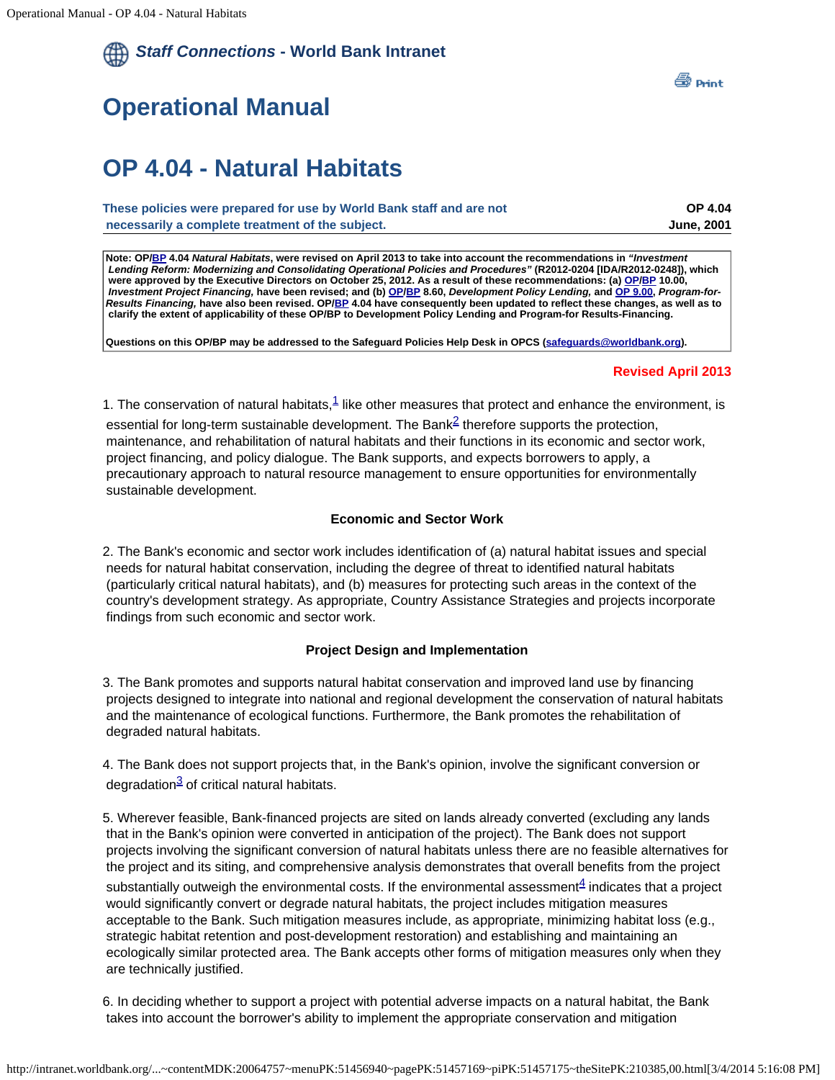# <span id="page-0-1"></span><span id="page-0-0"></span>**Operational Manual**

# **OP 4.04 - Natural Habitats**

| These policies were prepared for use by World Bank staff and are not | <b>OP 4.04</b>    |
|----------------------------------------------------------------------|-------------------|
| necessarily a complete treatment of the subject.                     | <b>June, 2001</b> |

**Note: OP[/BP](http://intranet.worldbank.org/WBSITE/INTRANET/OPSMANUAL/0,,print:Y~isCURL:Y~contentMDK:20064560~menuPK:51456940~pagePK:51457169~piPK:51457175~theSitePK:210385~isCURL:Y,00.html) 4.04** *Natural Habitats***, were revised on April 2013 to take into account the recommendations in** *"Investment Lending Reform: Modernizing and Consolidating Operational Policies and Procedures"* **(R2012-0204 [IDA/R2012-0248]), which were approved by the Executive Directors on October 25, 2012. As a result of these recommendations: (a) [OP/](http://intranet.worldbank.org/WBSITE/INTRANET/OPSMANUAL/0,,print:Y~isCURL:Y~contentMDK:20064659~menuPK:51456940~pagePK:51457169~piPK:51457175~theSitePK:210385~isCURL:Y,00.html)[BP](http://intranet.worldbank.org/WBSITE/INTRANET/OPSMANUAL/0,,print:Y~isCURL:Y~contentMDK:20064538~menuPK:51456940~pagePK:51457169~piPK:51457175~theSitePK:210385~isCURL:Y,00.html) 10.00,** *Investment Project Financing,* **have been revised; and (b) [OP](http://intranet.worldbank.org/WBSITE/INTRANET/OPSMANUAL/0,,print:Y~isCURL:Y~contentMDK:23113171~menuPK:51456940~pagePK:51457169~piPK:51457175~theSitePK:210385~isCURL:Y,00.html)[/BP](http://intranet.worldbank.org/WBSITE/INTRANET/OPSMANUAL/0,,print:Y~isCURL:Y~contentMDK:23113172~menuPK:51456940~pagePK:51457169~piPK:51457175~theSitePK:210385~isCURL:Y,00.html) 8.60,** *Development Policy Lending,* **and [OP 9.00](http://intranet.worldbank.org/WBSITE/INTRANET/OPSMANUAL/0,,print:Y~isCURL:Y~contentMDK:23101116~menuPK:51456940~pagePK:51457169~piPK:51457175~theSitePK:210385~isCURL:Y,00.html),** *Program-for-Results Financing,* **have also been revised. OP[/BP](http://intranet.worldbank.org/WBSITE/INTRANET/OPSMANUAL/0,,print:Y~isCURL:Y~contentMDK:20064560~menuPK:51456940~pagePK:51457169~piPK:51457175~theSitePK:210385~isCURL:Y,00.html) 4.04 have consequently been updated to reflect these changes, as well as to clarify the extent of applicability of these OP/BP to Development Policy Lending and Program-for Results-Financing.**

**Questions on this OP/BP may be addressed to the Safeguard Policies Help Desk in OPCS [\(safeguards@worldbank.org](mailto:safeguards@worldbank.org)).**

#### **Revised April 2013**

[1](#page-0-0). The conservation of natural habitats, $1$  like other measures that protect and enhance the environment, is

essential for long-term sustainable development. The Bank<sup>2</sup> therefore supports the protection, maintenance, and rehabilitation of natural habitats and their functions in its economic and sector work, project financing, and policy dialogue. The Bank supports, and expects borrowers to apply, a precautionary approach to natural resource management to ensure opportunities for environmentally sustainable development.

### **Economic and Sector Work**

2. The Bank's economic and sector work includes identification of (a) natural habitat issues and special needs for natural habitat conservation, including the degree of threat to identified natural habitats (particularly critical natural habitats), and (b) measures for protecting such areas in the context of the country's development strategy. As appropriate, Country Assistance Strategies and projects incorporate findings from such economic and sector work.

### **Project Design and Implementation**

3. The Bank promotes and supports natural habitat conservation and improved land use by financing projects designed to integrate into national and regional development the conservation of natural habitats and the maintenance of ecological functions. Furthermore, the Bank promotes the rehabilitation of degraded natural habitats.

4. The Bank does not support projects that, in the Bank's opinion, involve the significant conversion or degradation $3$  of critical natural habitats.

5. Wherever feasible, Bank-financed projects are sited on lands already converted (excluding any lands that in the Bank's opinion were converted in anticipation of the project). The Bank does not support projects involving the significant conversion of natural habitats unless there are no feasible alternatives for the project and its siting, and comprehensive analysis demonstrates that overall benefits from the project substantially outweigh the environmental costs. If the environmental assessment $4$  indicates that a project would significantly convert or degrade natural habitats, the project includes mitigation measures acceptable to the Bank. Such mitigation measures include, as appropriate, minimizing habitat loss (e.g., strategic habitat retention and post-development restoration) and establishing and maintaining an ecologically similar protected area. The Bank accepts other forms of mitigation measures only when they are technically justified.

6. In deciding whether to support a project with potential adverse impacts on a natural habitat, the Bank takes into account the borrower's ability to implement the appropriate conservation and mitigation